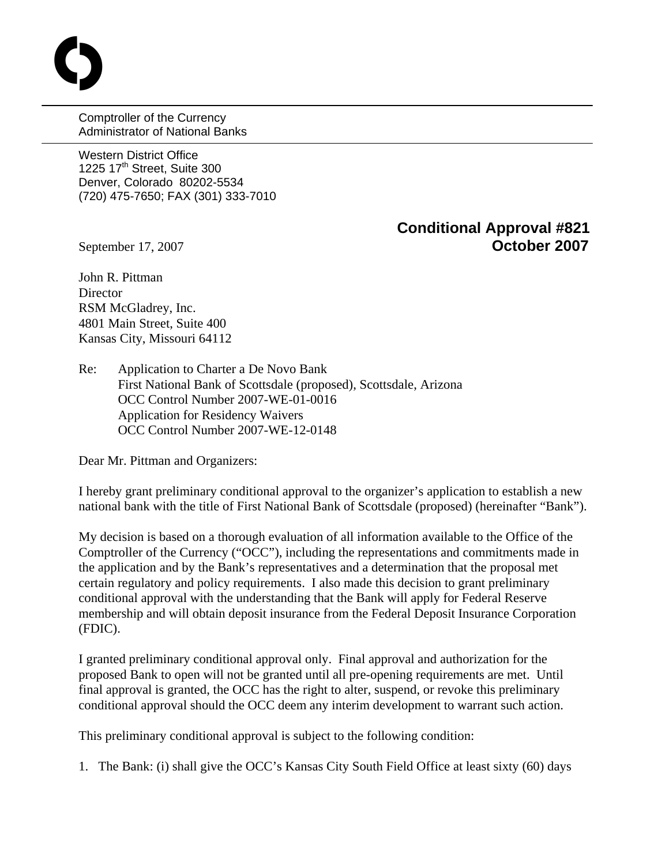Comptroller of the Currency Administrator of National Banks

Western District Office 1225  $17<sup>th</sup>$  Street, Suite 300 Denver, Colorado 80202-5534 (720) 475-7650; FAX (301) 333-7010

## **Conditional Approval #821**  September 17, 2007 **October 2007**

**C** 

John R. Pittman **Director** RSM McGladrey, Inc. 4801 Main Street, Suite 400 Kansas City, Missouri 64112

Re: Application to Charter a De Novo Bank First National Bank of Scottsdale (proposed), Scottsdale, Arizona OCC Control Number 2007-WE-01-0016 Application for Residency Waivers OCC Control Number 2007-WE-12-0148

Dear Mr. Pittman and Organizers:

I hereby grant preliminary conditional approval to the organizer's application to establish a new national bank with the title of First National Bank of Scottsdale (proposed) (hereinafter "Bank").

My decision is based on a thorough evaluation of all information available to the Office of the Comptroller of the Currency ("OCC"), including the representations and commitments made in the application and by the Bank's representatives and a determination that the proposal met certain regulatory and policy requirements. I also made this decision to grant preliminary conditional approval with the understanding that the Bank will apply for Federal Reserve membership and will obtain deposit insurance from the Federal Deposit Insurance Corporation (FDIC).

I granted preliminary conditional approval only. Final approval and authorization for the proposed Bank to open will not be granted until all pre-opening requirements are met. Until final approval is granted, the OCC has the right to alter, suspend, or revoke this preliminary conditional approval should the OCC deem any interim development to warrant such action.

This preliminary conditional approval is subject to the following condition:

1. The Bank: (i) shall give the OCC's Kansas City South Field Office at least sixty (60) days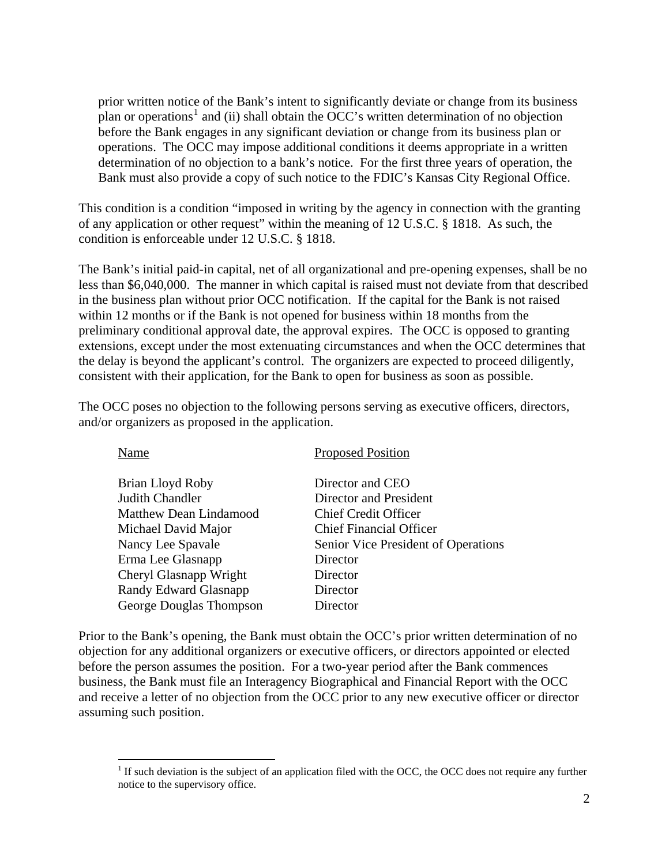prior written notice of the Bank's intent to significantly deviate or change from its business plan or operations<sup>[1](#page-1-0)</sup> and (ii) shall obtain the OCC's written determination of no objection before the Bank engages in any significant deviation or change from its business plan or operations. The OCC may impose additional conditions it deems appropriate in a written determination of no objection to a bank's notice. For the first three years of operation, the Bank must also provide a copy of such notice to the FDIC's Kansas City Regional Office.

This condition is a condition "imposed in writing by the agency in connection with the granting of any application or other request" within the meaning of 12 U.S.C. § 1818. As such, the condition is enforceable under 12 U.S.C. § 1818.

The Bank's initial paid-in capital, net of all organizational and pre-opening expenses, shall be no less than \$6,040,000. The manner in which capital is raised must not deviate from that described in the business plan without prior OCC notification. If the capital for the Bank is not raised within 12 months or if the Bank is not opened for business within 18 months from the preliminary conditional approval date, the approval expires. The OCC is opposed to granting extensions, except under the most extenuating circumstances and when the OCC determines that the delay is beyond the applicant's control. The organizers are expected to proceed diligently, consistent with their application, for the Bank to open for business as soon as possible.

The OCC poses no objection to the following persons serving as executive officers, directors, and/or organizers as proposed in the application.

| Name                    | <b>Proposed Position</b>            |
|-------------------------|-------------------------------------|
| Brian Lloyd Roby        | Director and CEO                    |
| Judith Chandler         | Director and President              |
| Matthew Dean Lindamood  | <b>Chief Credit Officer</b>         |
| Michael David Major     | <b>Chief Financial Officer</b>      |
| Nancy Lee Spavale       | Senior Vice President of Operations |
| Erma Lee Glasnapp       | Director                            |
| Cheryl Glasnapp Wright  | Director                            |
| Randy Edward Glasnapp   | Director                            |
| George Douglas Thompson | Director                            |

Prior to the Bank's opening, the Bank must obtain the OCC's prior written determination of no objection for any additional organizers or executive officers, or directors appointed or elected before the person assumes the position. For a two-year period after the Bank commences business, the Bank must file an Interagency Biographical and Financial Report with the OCC and receive a letter of no objection from the OCC prior to any new executive officer or director assuming such position.

 $\overline{a}$ 

<span id="page-1-0"></span><sup>&</sup>lt;sup>1</sup> If such deviation is the subject of an application filed with the OCC, the OCC does not require any further notice to the supervisory office.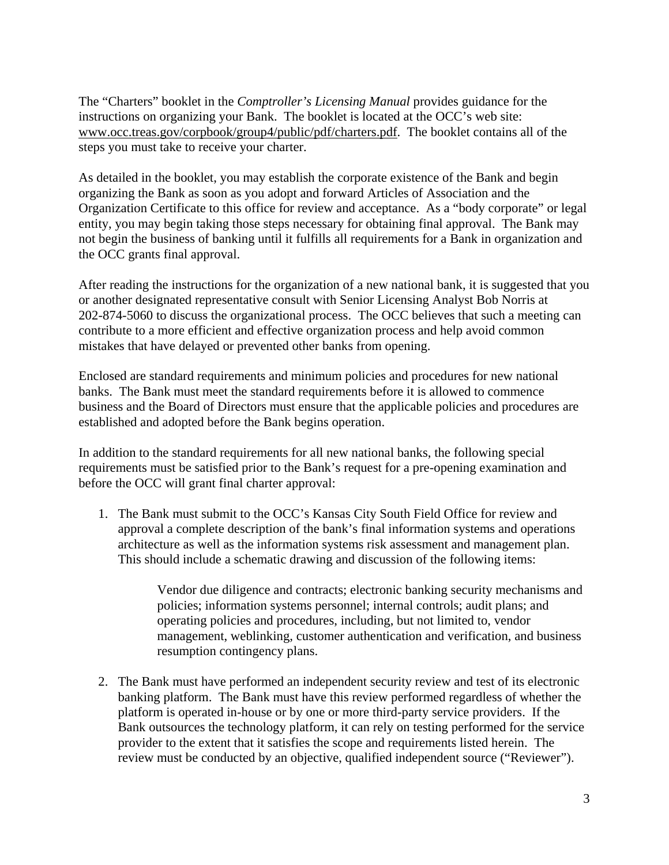The "Charters" booklet in the *Comptroller's Licensing Manual* provides guidance for the instructions on organizing your Bank. The booklet is located at the OCC's web site: [www.occ.treas.gov/corpbook/group4/public/pdf/charters.pdf.](http://www.occ.treas.gov/corpbook/group4/public/pdf/charters.pdf) The booklet contains all of the steps you must take to receive your charter.

As detailed in the booklet, you may establish the corporate existence of the Bank and begin organizing the Bank as soon as you adopt and forward Articles of Association and the Organization Certificate to this office for review and acceptance. As a "body corporate" or legal entity, you may begin taking those steps necessary for obtaining final approval. The Bank may not begin the business of banking until it fulfills all requirements for a Bank in organization and the OCC grants final approval.

After reading the instructions for the organization of a new national bank, it is suggested that you or another designated representative consult with Senior Licensing Analyst Bob Norris at 202-874-5060 to discuss the organizational process. The OCC believes that such a meeting can contribute to a more efficient and effective organization process and help avoid common mistakes that have delayed or prevented other banks from opening.

Enclosed are standard requirements and minimum policies and procedures for new national banks. The Bank must meet the standard requirements before it is allowed to commence business and the Board of Directors must ensure that the applicable policies and procedures are established and adopted before the Bank begins operation.

In addition to the standard requirements for all new national banks, the following special requirements must be satisfied prior to the Bank's request for a pre-opening examination and before the OCC will grant final charter approval:

1. The Bank must submit to the OCC's Kansas City South Field Office for review and approval a complete description of the bank's final information systems and operations architecture as well as the information systems risk assessment and management plan. This should include a schematic drawing and discussion of the following items:

> Vendor due diligence and contracts; electronic banking security mechanisms and policies; information systems personnel; internal controls; audit plans; and operating policies and procedures, including, but not limited to, vendor management, weblinking, customer authentication and verification, and business resumption contingency plans.

2. The Bank must have performed an independent security review and test of its electronic banking platform. The Bank must have this review performed regardless of whether the platform is operated in-house or by one or more third-party service providers. If the Bank outsources the technology platform, it can rely on testing performed for the service provider to the extent that it satisfies the scope and requirements listed herein. The review must be conducted by an objective, qualified independent source ("Reviewer").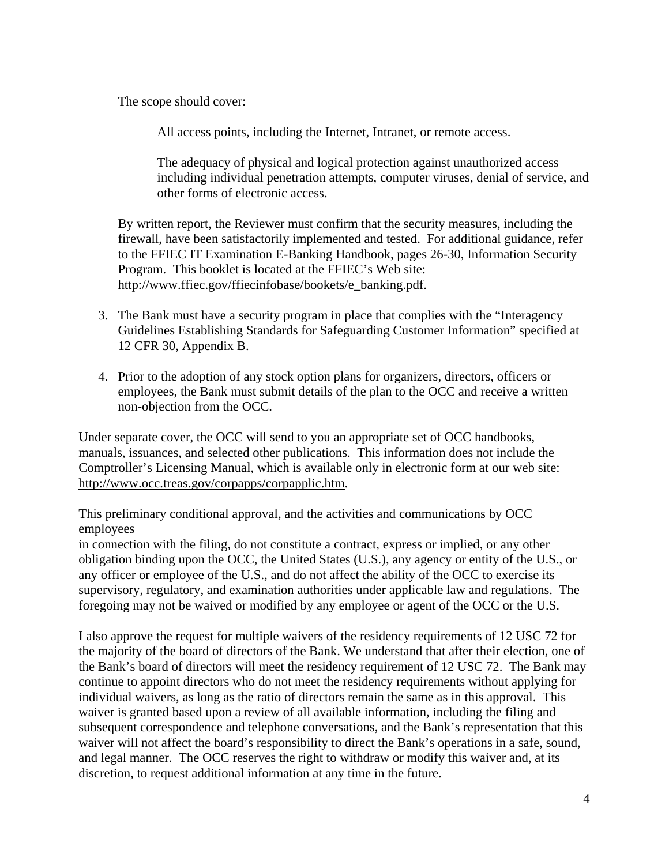The scope should cover:

All access points, including the Internet, Intranet, or remote access.

The adequacy of physical and logical protection against unauthorized access including individual penetration attempts, computer viruses, denial of service, and other forms of electronic access.

By written report, the Reviewer must confirm that the security measures, including the firewall, have been satisfactorily implemented and tested. For additional guidance, refer to the FFIEC IT Examination E-Banking Handbook, pages 26-30, Information Security Program. This booklet is located at the FFIEC's Web site: [http://www.ffiec.gov/ffiecinfobase/bookets/e\\_banking.pdf.](http://www.ffiec.gov/ffiecinfobase/bookets/e_banking.pdf)

- 3. The Bank must have a security program in place that complies with the "Interagency Guidelines Establishing Standards for Safeguarding Customer Information" specified at 12 CFR 30, Appendix B.
- 4. Prior to the adoption of any stock option plans for organizers, directors, officers or employees, the Bank must submit details of the plan to the OCC and receive a written non-objection from the OCC.

Under separate cover, the OCC will send to you an appropriate set of OCC handbooks, manuals, issuances, and selected other publications. This information does not include the Comptroller's Licensing Manual, which is available only in electronic form at our web site: [http://www.occ.treas.gov/corpapps/corpapplic.htm.](http://www.occ.treas.gov/corpapps/corpapplic.htm)

This preliminary conditional approval, and the activities and communications by OCC employees

in connection with the filing, do not constitute a contract, express or implied, or any other obligation binding upon the OCC, the United States (U.S.), any agency or entity of the U.S., or any officer or employee of the U.S., and do not affect the ability of the OCC to exercise its supervisory, regulatory, and examination authorities under applicable law and regulations. The foregoing may not be waived or modified by any employee or agent of the OCC or the U.S.

I also approve the request for multiple waivers of the residency requirements of 12 USC 72 for the majority of the board of directors of the Bank. We understand that after their election, one of the Bank's board of directors will meet the residency requirement of 12 USC 72. The Bank may continue to appoint directors who do not meet the residency requirements without applying for individual waivers, as long as the ratio of directors remain the same as in this approval. This waiver is granted based upon a review of all available information, including the filing and subsequent correspondence and telephone conversations, and the Bank's representation that this waiver will not affect the board's responsibility to direct the Bank's operations in a safe, sound, and legal manner. The OCC reserves the right to withdraw or modify this waiver and, at its discretion, to request additional information at any time in the future.